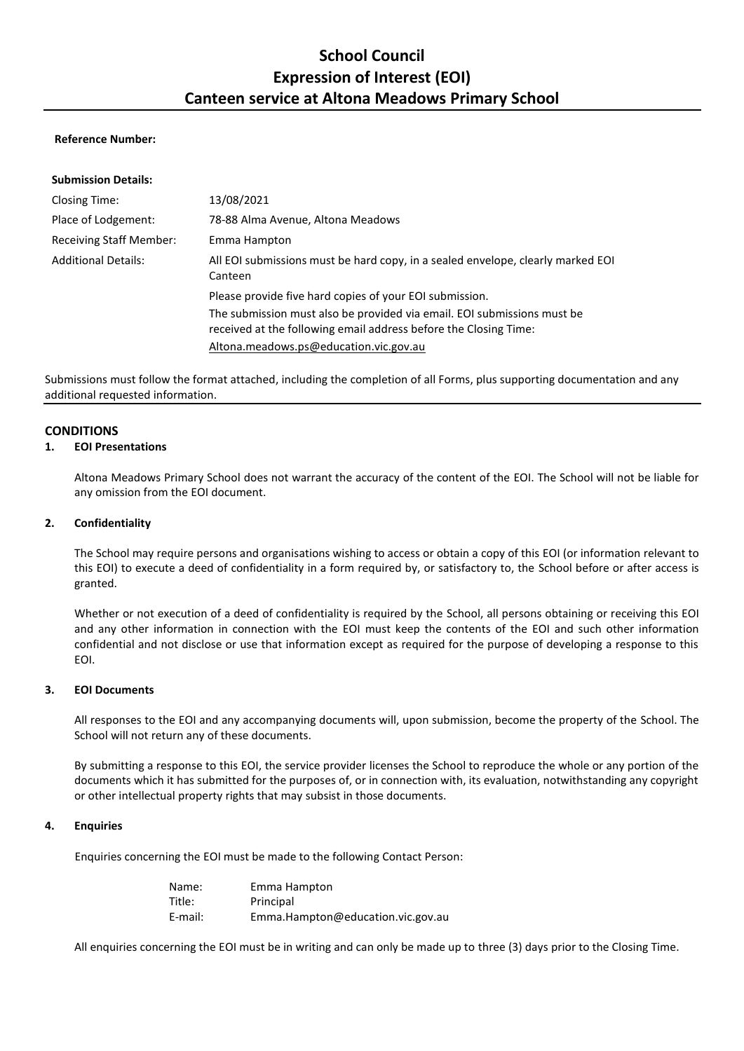# **School Council Expression of Interest (EOI) Canteen service at Altona Meadows Primary School**

#### **Reference Number:**

| 13/08/2021                                                                                                                                                                            |
|---------------------------------------------------------------------------------------------------------------------------------------------------------------------------------------|
| 78-88 Alma Avenue, Altona Meadows                                                                                                                                                     |
| Emma Hampton                                                                                                                                                                          |
| All EOI submissions must be hard copy, in a sealed envelope, clearly marked EOI<br>Canteen                                                                                            |
| Please provide five hard copies of your EOI submission.                                                                                                                               |
| The submission must also be provided via email. EOI submissions must be<br>received at the following email address before the Closing Time:<br>Altona.meadows.ps@education.vic.gov.au |
|                                                                                                                                                                                       |

Submissions must follow the format attached, including the completion of all Forms, plus supporting documentation and any additional requested information.

#### **CONDITIONS**

#### **1. EOI Presentations**

Altona Meadows Primary School does not warrant the accuracy of the content of the EOI. The School will not be liable for any omission from the EOI document.

#### **2. Confidentiality**

The School may require persons and organisations wishing to access or obtain a copy of this EOI (or information relevant to this EOI) to execute a deed of confidentiality in a form required by, or satisfactory to, the School before or after access is granted.

Whether or not execution of a deed of confidentiality is required by the School, all persons obtaining or receiving this EOI and any other information in connection with the EOI must keep the contents of the EOI and such other information confidential and not disclose or use that information except as required for the purpose of developing a response to this EOI.

#### **3. EOI Documents**

All responses to the EOI and any accompanying documents will, upon submission, become the property of the School. The School will not return any of these documents.

By submitting a response to this EOI, the service provider licenses the School to reproduce the whole or any portion of the documents which it has submitted for the purposes of, or in connection with, its evaluation, notwithstanding any copyright or other intellectual property rights that may subsist in those documents.

#### **4. Enquiries**

Enquiries concerning the EOI must be made to the following Contact Person:

Name: Emma Hampton Title: Principal E-mail: Emma.Hampton@education.vic.gov.au

All enquiries concerning the EOI must be in writing and can only be made up to three (3) days prior to the Closing Time.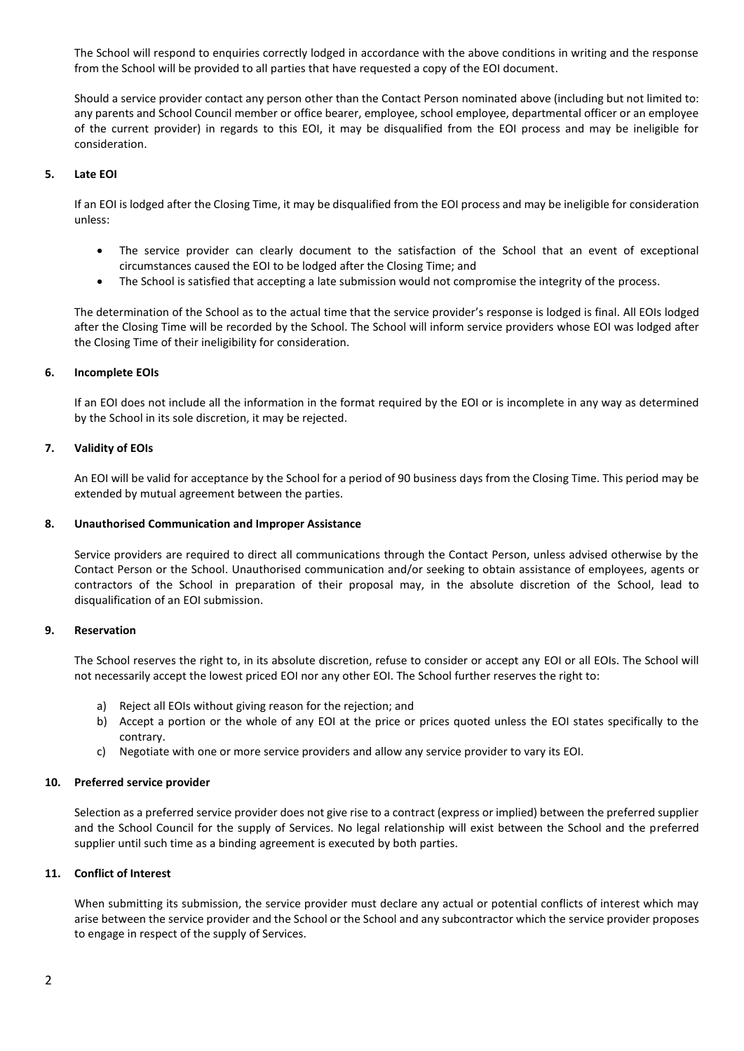The School will respond to enquiries correctly lodged in accordance with the above conditions in writing and the response from the School will be provided to all parties that have requested a copy of the EOI document.

Should a service provider contact any person other than the Contact Person nominated above (including but not limited to: any parents and School Council member or office bearer, employee, school employee, departmental officer or an employee of the current provider) in regards to this EOI, it may be disqualified from the EOI process and may be ineligible for consideration.

#### **5. Late EOI**

If an EOI is lodged after the Closing Time, it may be disqualified from the EOI process and may be ineligible for consideration unless:

- The service provider can clearly document to the satisfaction of the School that an event of exceptional circumstances caused the EOI to be lodged after the Closing Time; and
- The School is satisfied that accepting a late submission would not compromise the integrity of the process.

The determination of the School as to the actual time that the service provider's response is lodged is final. All EOIs lodged after the Closing Time will be recorded by the School. The School will inform service providers whose EOI was lodged after the Closing Time of their ineligibility for consideration.

#### **6. Incomplete EOIs**

If an EOI does not include all the information in the format required by the EOI or is incomplete in any way as determined by the School in its sole discretion, it may be rejected.

#### **7. Validity of EOIs**

An EOI will be valid for acceptance by the School for a period of 90 business days from the Closing Time. This period may be extended by mutual agreement between the parties.

#### **8. Unauthorised Communication and Improper Assistance**

Service providers are required to direct all communications through the Contact Person, unless advised otherwise by the Contact Person or the School. Unauthorised communication and/or seeking to obtain assistance of employees, agents or contractors of the School in preparation of their proposal may, in the absolute discretion of the School, lead to disqualification of an EOI submission.

#### **9. Reservation**

The School reserves the right to, in its absolute discretion, refuse to consider or accept any EOI or all EOIs. The School will not necessarily accept the lowest priced EOI nor any other EOI. The School further reserves the right to:

- a) Reject all EOIs without giving reason for the rejection; and
- b) Accept a portion or the whole of any EOI at the price or prices quoted unless the EOI states specifically to the contrary.
- c) Negotiate with one or more service providers and allow any service provider to vary its EOI.

#### **10. Preferred service provider**

Selection as a preferred service provider does not give rise to a contract (express or implied) between the preferred supplier and the School Council for the supply of Services. No legal relationship will exist between the School and the preferred supplier until such time as a binding agreement is executed by both parties.

#### **11. Conflict of Interest**

When submitting its submission, the service provider must declare any actual or potential conflicts of interest which may arise between the service provider and the School or the School and any subcontractor which the service provider proposes to engage in respect of the supply of Services.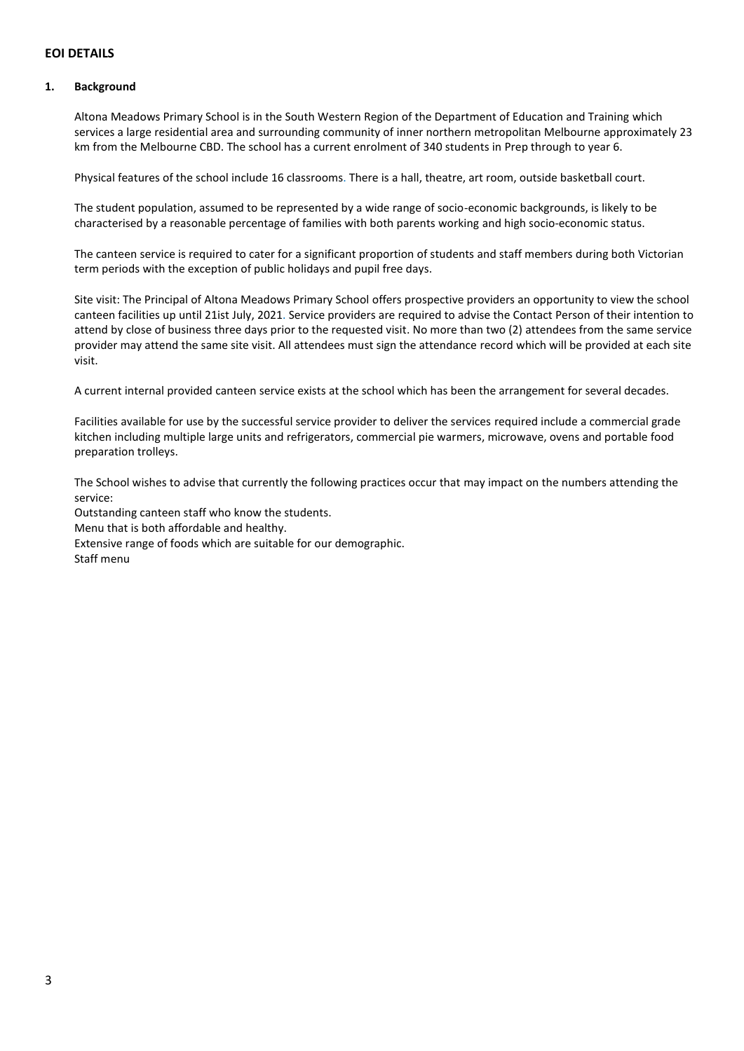# **EOI DETAILS**

#### **1. Background**

Altona Meadows Primary School is in the South Western Region of the Department of Education and Training which services a large residential area and surrounding community of inner northern metropolitan Melbourne approximately 23 km from the Melbourne CBD. The school has a current enrolment of 340 students in Prep through to year 6.

Physical features of the school include 16 classrooms. There is a hall, theatre, art room, outside basketball court.

The student population, assumed to be represented by a wide range of socio-economic backgrounds, is likely to be characterised by a reasonable percentage of families with both parents working and high socio-economic status.

The canteen service is required to cater for a significant proportion of students and staff members during both Victorian term periods with the exception of public holidays and pupil free days.

Site visit: The Principal of Altona Meadows Primary School offers prospective providers an opportunity to view the school canteen facilities up until 21ist July, 2021. Service providers are required to advise the Contact Person of their intention to attend by close of business three days prior to the requested visit. No more than two (2) attendees from the same service provider may attend the same site visit. All attendees must sign the attendance record which will be provided at each site visit.

A current internal provided canteen service exists at the school which has been the arrangement for several decades.

Facilities available for use by the successful service provider to deliver the services required include a commercial grade kitchen including multiple large units and refrigerators, commercial pie warmers, microwave, ovens and portable food preparation trolleys.

The School wishes to advise that currently the following practices occur that may impact on the numbers attending the service:

Outstanding canteen staff who know the students. Menu that is both affordable and healthy. Extensive range of foods which are suitable for our demographic. Staff menu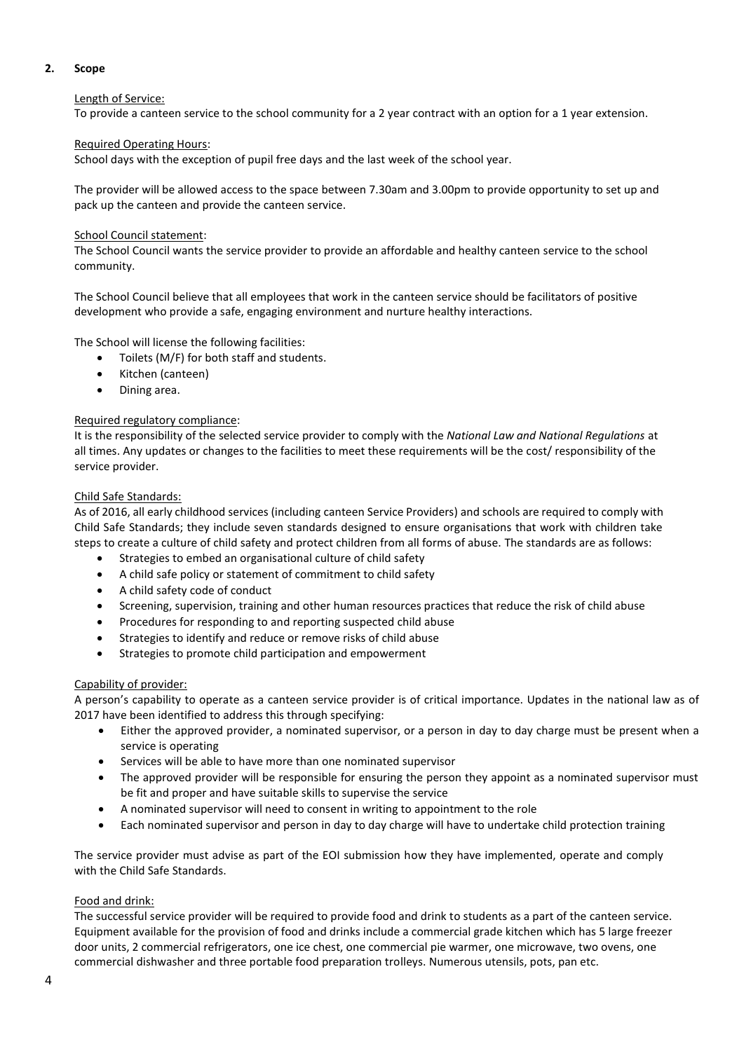### **2. Scope**

### Length of Service:

To provide a canteen service to the school community for a 2 year contract with an option for a 1 year extension.

## Required Operating Hours:

School days with the exception of pupil free days and the last week of the school year.

The provider will be allowed access to the space between 7.30am and 3.00pm to provide opportunity to set up and pack up the canteen and provide the canteen service.

## School Council statement:

The School Council wants the service provider to provide an affordable and healthy canteen service to the school community.

The School Council believe that all employees that work in the canteen service should be facilitators of positive development who provide a safe, engaging environment and nurture healthy interactions.

The School will license the following facilities:

- Toilets (M/F) for both staff and students.
- Kitchen (canteen)
- Dining area.

## Required regulatory compliance:

It is the responsibility of the selected service provider to comply with the *National Law and National Regulations* at all times. Any updates or changes to the facilities to meet these requirements will be the cost/ responsibility of the service provider.

## Child Safe Standards:

As of 2016, all early childhood services (including canteen Service Providers) and schools are required to comply with Child Safe Standards; they include seven standards designed to ensure organisations that work with children take steps to create a culture of child safety and protect children from all forms of abuse. The standards are as follows:

- Strategies to embed an organisational culture of child safety
- [A child safe policy or statement of commitment to child safety](http://www.education.vic.gov.au/about/programs/health/protect/Pages/childsafestandards.aspx#2)
- A [child safety code of conduct](http://www.education.vic.gov.au/about/programs/health/protect/Pages/childsafestandards.aspx#3)
- [Screening, supervision, training and other human resources practices that reduce the risk of child abuse](http://www.education.vic.gov.au/about/programs/health/protect/Pages/childsafestandards.aspx#4)
- Procedures for [responding to and reporting suspected child abuse](http://www.education.vic.gov.au/about/programs/health/protect/Pages/childsafestandards.aspx#5)
- Strategies to identify and reduce or remove risks of child abuse
- Strategies to promote [child participation and empowerment](http://www.education.vic.gov.au/about/programs/health/protect/Pages/childsafestandards.aspx#7)

### Capability of provider:

A person's capability to operate as a canteen service provider is of critical importance. Updates in the national law as of 2017 have been identified to address this through specifying:

- Either the approved provider, a nominated supervisor, or a person in day to day charge must be present when a service is operating
- Services will be able to have more than one nominated supervisor
- The approved provider will be responsible for ensuring the person they appoint as a nominated supervisor must be fit and proper and have suitable skills to supervise the service
- A nominated supervisor will need to consent in writing to appointment to the role
- Each nominated supervisor and person in day to day charge will have to undertake child protection training

The service provider must advise as part of the EOI submission how they have implemented, operate and comply with the Child Safe Standards.

# Food and drink:

The successful service provider will be required to provide food and drink to students as a part of the canteen service. Equipment available for the provision of food and drinks include a commercial grade kitchen which has 5 large freezer door units, 2 commercial refrigerators, one ice chest, one commercial pie warmer, one microwave, two ovens, one commercial dishwasher and three portable food preparation trolleys. Numerous utensils, pots, pan etc.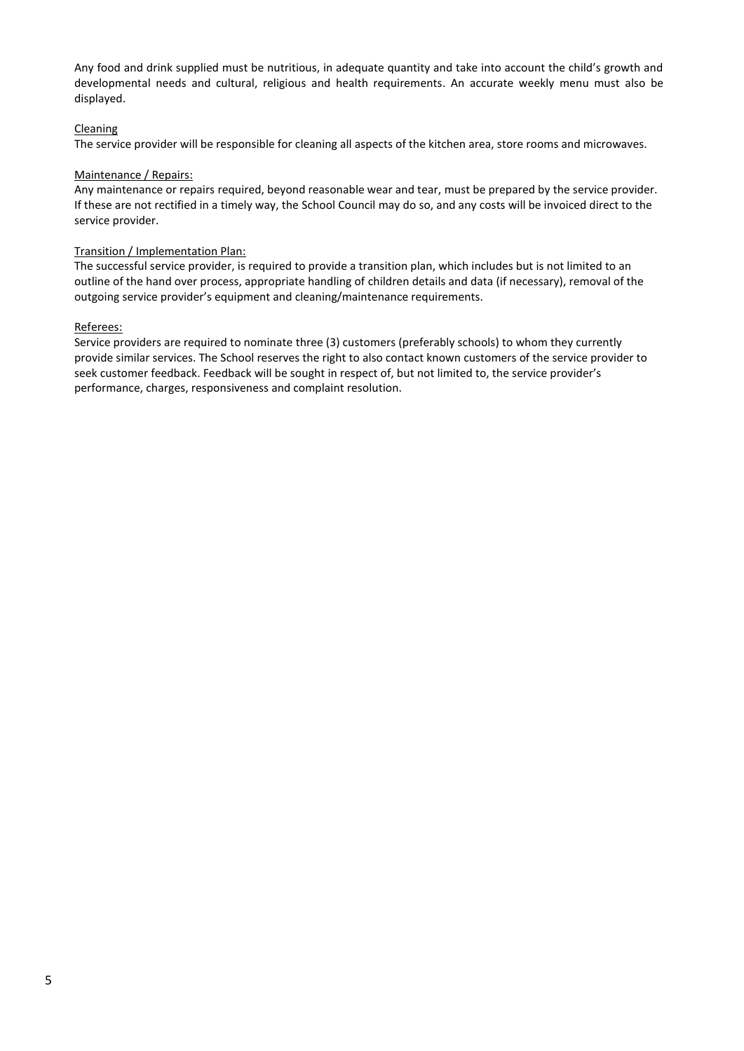Any food and drink supplied must be nutritious, in adequate quantity and take into account the child's growth and developmental needs and cultural, religious and health requirements. An accurate weekly menu must also be displayed.

### Cleaning

The service provider will be responsible for cleaning all aspects of the kitchen area, store rooms and microwaves.

### Maintenance / Repairs:

Any maintenance or repairs required, beyond reasonable wear and tear, must be prepared by the service provider. If these are not rectified in a timely way, the School Council may do so, and any costs will be invoiced direct to the service provider.

## Transition / Implementation Plan:

The successful service provider, is required to provide a transition plan, which includes but is not limited to an outline of the hand over process, appropriate handling of children details and data (if necessary), removal of the outgoing service provider's equipment and cleaning/maintenance requirements.

## Referees:

Service providers are required to nominate three (3) customers (preferably schools) to whom they currently provide similar services. The School reserves the right to also contact known customers of the service provider to seek customer feedback. Feedback will be sought in respect of, but not limited to, the service provider's performance, charges, responsiveness and complaint resolution.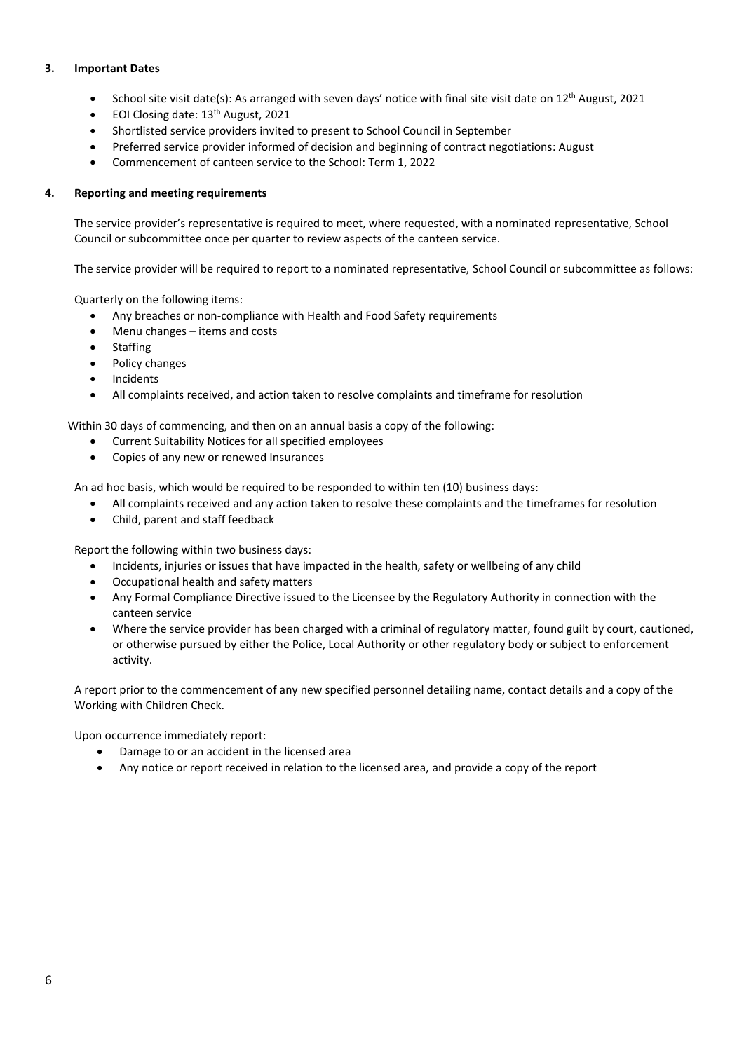## **3. Important Dates**

- School site visit date(s): As arranged with seven days' notice with final site visit date on 12<sup>th</sup> August, 2021
- EOI Closing date: 13<sup>th</sup> August, 2021
- Shortlisted service providers invited to present to School Council in September
- Preferred service provider informed of decision and beginning of contract negotiations: August
- Commencement of canteen service to the School: Term 1, 2022

# **4. Reporting and meeting requirements**

The service provider's representative is required to meet, where requested, with a nominated representative, School Council or subcommittee once per quarter to review aspects of the canteen service.

The service provider will be required to report to a nominated representative, School Council or subcommittee as follows:

Quarterly on the following items:

- Any breaches or non-compliance with Health and Food Safety requirements
- Menu changes items and costs
- Staffing
- Policy changes
- Incidents
- All complaints received, and action taken to resolve complaints and timeframe for resolution

Within 30 days of commencing, and then on an annual basis a copy of the following:

- Current Suitability Notices for all specified employees
- Copies of any new or renewed Insurances

An ad hoc basis, which would be required to be responded to within ten (10) business days:

- All complaints received and any action taken to resolve these complaints and the timeframes for resolution
- Child, parent and staff feedback

Report the following within two business days:

- Incidents, injuries or issues that have impacted in the health, safety or wellbeing of any child
- Occupational health and safety matters
- Any Formal Compliance Directive issued to the Licensee by the Regulatory Authority in connection with the canteen service
- Where the service provider has been charged with a criminal of regulatory matter, found guilt by court, cautioned, or otherwise pursued by either the Police, Local Authority or other regulatory body or subject to enforcement activity.

A report prior to the commencement of any new specified personnel detailing name, contact details and a copy of the Working with Children Check.

Upon occurrence immediately report:

- Damage to or an accident in the licensed area
- Any notice or report received in relation to the licensed area, and provide a copy of the report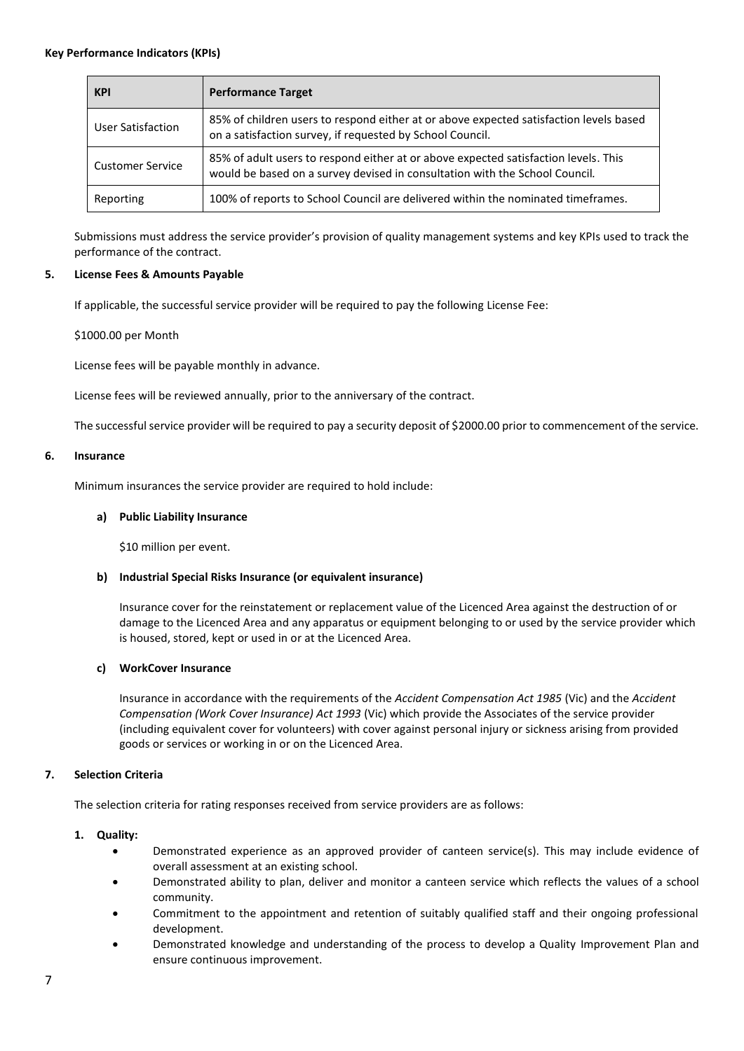| <b>KPI</b>              | <b>Performance Target</b>                                                                                                                                          |
|-------------------------|--------------------------------------------------------------------------------------------------------------------------------------------------------------------|
| User Satisfaction       | 85% of children users to respond either at or above expected satisfaction levels based<br>on a satisfaction survey, if requested by School Council.                |
| <b>Customer Service</b> | 85% of adult users to respond either at or above expected satisfaction levels. This<br>would be based on a survey devised in consultation with the School Council. |
| Reporting               | 100% of reports to School Council are delivered within the nominated timeframes.                                                                                   |

Submissions must address the service provider's provision of quality management systems and key KPIs used to track the performance of the contract.

#### **5. License Fees & Amounts Payable**

If applicable, the successful service provider will be required to pay the following License Fee:

\$1000.00 per Month

License fees will be payable monthly in advance.

License fees will be reviewed annually, prior to the anniversary of the contract.

The successful service provider will be required to pay a security deposit of \$2000.00 prior to commencement of the service.

#### **6. Insurance**

Minimum insurances the service provider are required to hold include:

## **a) Public Liability Insurance**

\$10 million per event.

# **b) Industrial Special Risks Insurance (or equivalent insurance)**

Insurance cover for the reinstatement or replacement value of the Licenced Area against the destruction of or damage to the Licenced Area and any apparatus or equipment belonging to or used by the service provider which is housed, stored, kept or used in or at the Licenced Area.

#### **c) WorkCover Insurance**

Insurance in accordance with the requirements of the *Accident Compensation Act 1985* (Vic) and the *Accident Compensation (Work Cover Insurance) Act 1993* (Vic) which provide the Associates of the service provider (including equivalent cover for volunteers) with cover against personal injury or sickness arising from provided goods or services or working in or on the Licenced Area.

# **7. Selection Criteria**

The selection criteria for rating responses received from service providers are as follows:

#### **1. Quality:**

- Demonstrated experience as an approved provider of canteen service(s). This may include evidence of overall assessment at an existing school.
- Demonstrated ability to plan, deliver and monitor a canteen service which reflects the values of a school community.
- Commitment to the appointment and retention of suitably qualified staff and their ongoing professional development.
- Demonstrated knowledge and understanding of the process to develop a Quality Improvement Plan and ensure continuous improvement.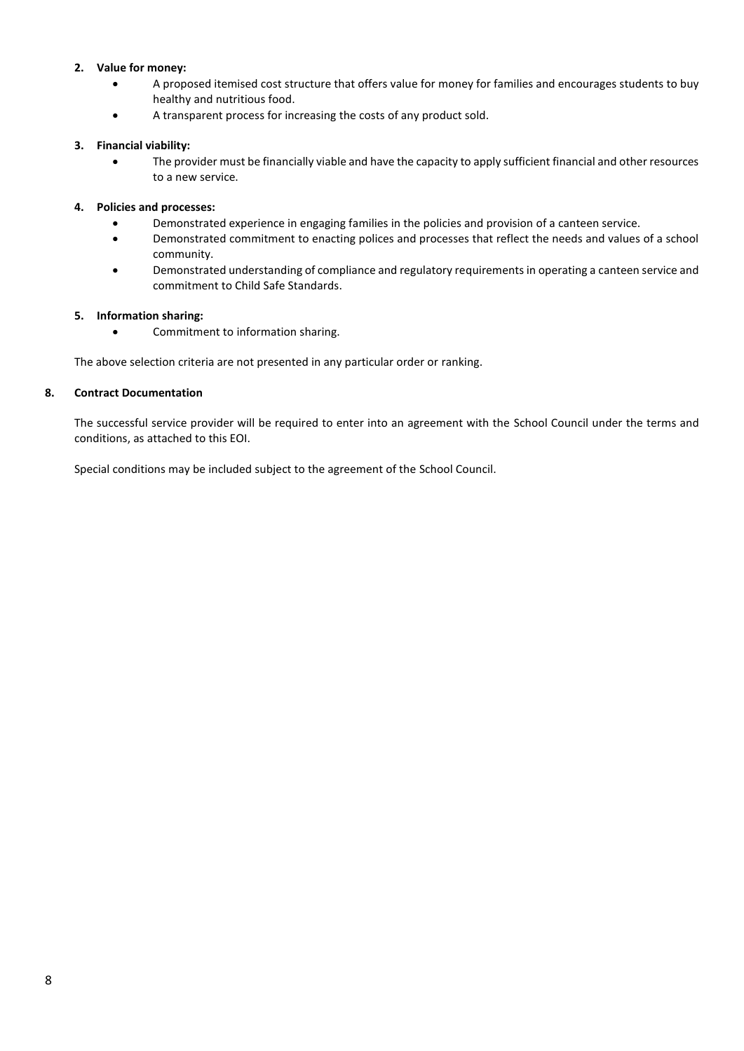## **2. Value for money:**

- A proposed itemised cost structure that offers value for money for families and encourages students to buy healthy and nutritious food.
- A transparent process for increasing the costs of any product sold.

### **3. Financial viability:**

• The provider must be financially viable and have the capacity to apply sufficient financial and other resources to a new service.

### **4. Policies and processes:**

- Demonstrated experience in engaging families in the policies and provision of a canteen service.
- Demonstrated commitment to enacting polices and processes that reflect the needs and values of a school community.
- Demonstrated understanding of compliance and regulatory requirements in operating a canteen service and commitment to Child Safe Standards.

#### **5. Information sharing:**

• Commitment to information sharing.

The above selection criteria are not presented in any particular order or ranking.

#### **8. Contract Documentation**

The successful service provider will be required to enter into an agreement with the School Council under the terms and conditions, as attached to this EOI.

Special conditions may be included subject to the agreement of the School Council.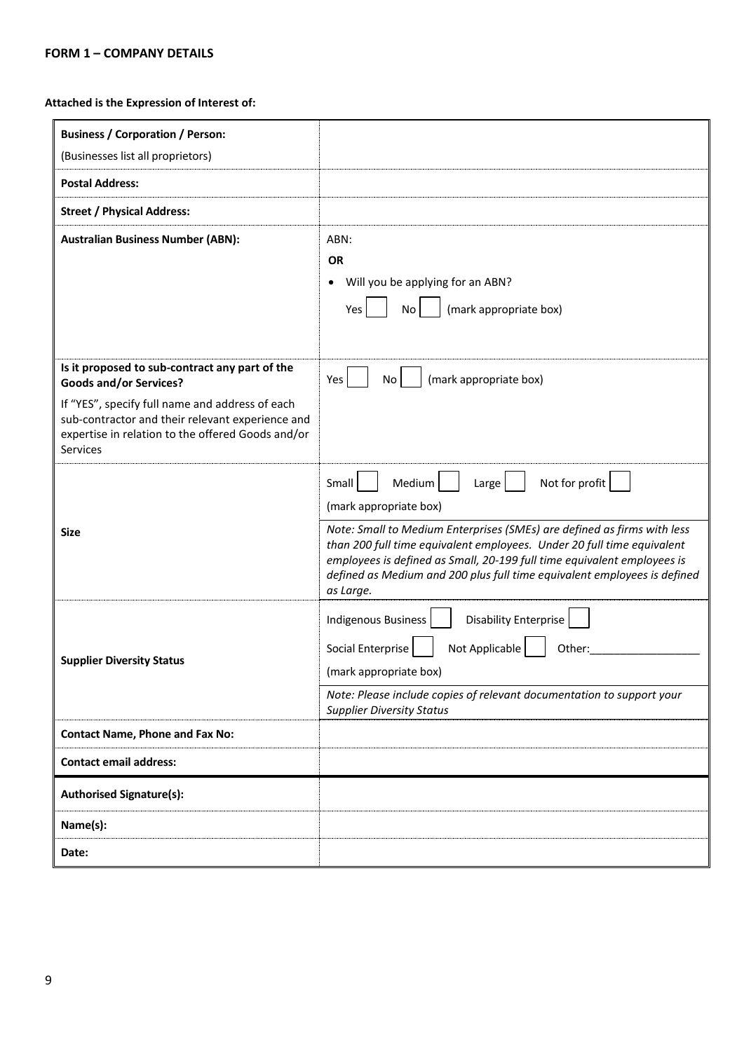# **Attached is the Expression of Interest of:**

| <b>Business / Corporation / Person:</b><br>(Businesses list all proprietors)                                                                                                |                                                                                                                                                                                                                                                                                                                       |
|-----------------------------------------------------------------------------------------------------------------------------------------------------------------------------|-----------------------------------------------------------------------------------------------------------------------------------------------------------------------------------------------------------------------------------------------------------------------------------------------------------------------|
| <b>Postal Address:</b>                                                                                                                                                      |                                                                                                                                                                                                                                                                                                                       |
| <b>Street / Physical Address:</b>                                                                                                                                           |                                                                                                                                                                                                                                                                                                                       |
| <b>Australian Business Number (ABN):</b>                                                                                                                                    | ABN:<br><b>OR</b><br>Will you be applying for an ABN?<br>$\bullet$<br>(mark appropriate box)<br>Yes<br>No                                                                                                                                                                                                             |
| Is it proposed to sub-contract any part of the<br><b>Goods and/or Services?</b>                                                                                             | (mark appropriate box)<br>Yes<br>No                                                                                                                                                                                                                                                                                   |
| If "YES", specify full name and address of each<br>sub-contractor and their relevant experience and<br>expertise in relation to the offered Goods and/or<br><b>Services</b> |                                                                                                                                                                                                                                                                                                                       |
|                                                                                                                                                                             | Not for profit<br>Medium<br>Small<br>Large<br>(mark appropriate box)                                                                                                                                                                                                                                                  |
| <b>Size</b>                                                                                                                                                                 | Note: Small to Medium Enterprises (SMEs) are defined as firms with less<br>than 200 full time equivalent employees. Under 20 full time equivalent<br>employees is defined as Small, 20-199 full time equivalent employees is<br>defined as Medium and 200 plus full time equivalent employees is defined<br>as Large. |
|                                                                                                                                                                             | <b>Disability Enterprise</b><br><b>Indigenous Business</b>                                                                                                                                                                                                                                                            |
|                                                                                                                                                                             | Not Applicable<br>Social Enterprise<br>Other:                                                                                                                                                                                                                                                                         |
| <b>Supplier Diversity Status</b>                                                                                                                                            | (mark appropriate box)                                                                                                                                                                                                                                                                                                |
|                                                                                                                                                                             | Note: Please include copies of relevant documentation to support your<br><b>Supplier Diversity Status</b>                                                                                                                                                                                                             |
| <b>Contact Name, Phone and Fax No:</b>                                                                                                                                      |                                                                                                                                                                                                                                                                                                                       |
| <b>Contact email address:</b>                                                                                                                                               |                                                                                                                                                                                                                                                                                                                       |
| <b>Authorised Signature(s):</b>                                                                                                                                             |                                                                                                                                                                                                                                                                                                                       |
| Name(s):                                                                                                                                                                    |                                                                                                                                                                                                                                                                                                                       |
| Date:                                                                                                                                                                       |                                                                                                                                                                                                                                                                                                                       |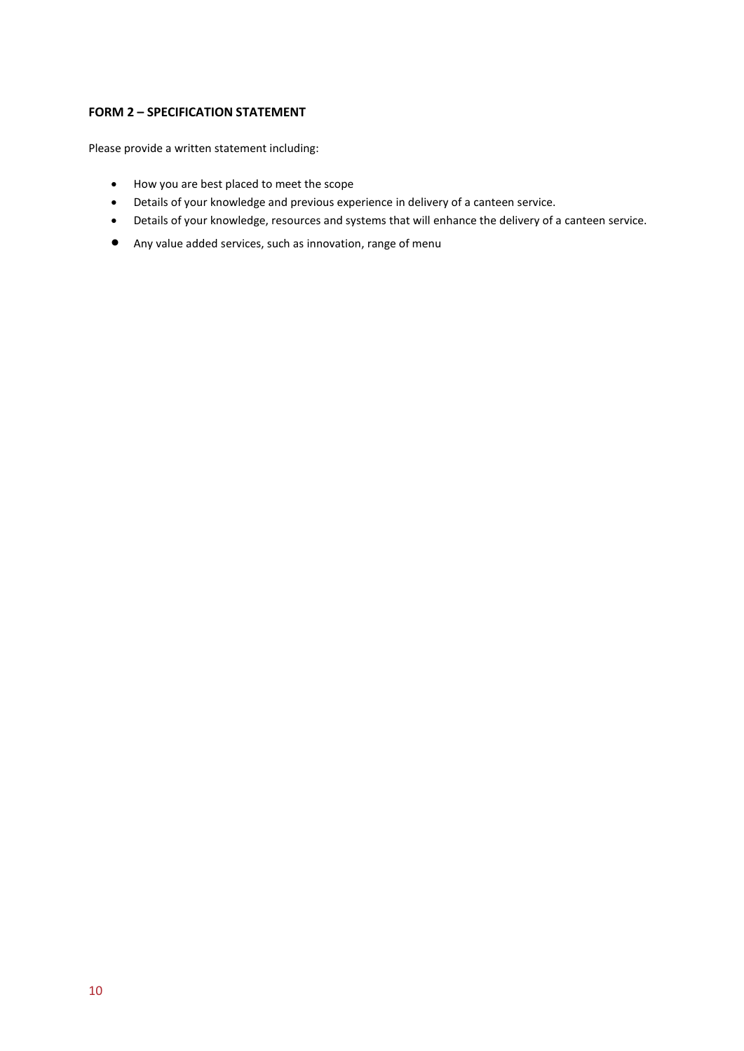# **FORM 2 – SPECIFICATION STATEMENT**

Please provide a written statement including:

- How you are best placed to meet the scope
- Details of your knowledge and previous experience in delivery of a canteen service.
- Details of your knowledge, resources and systems that will enhance the delivery of a canteen service.
- Any value added services, such as innovation, range of menu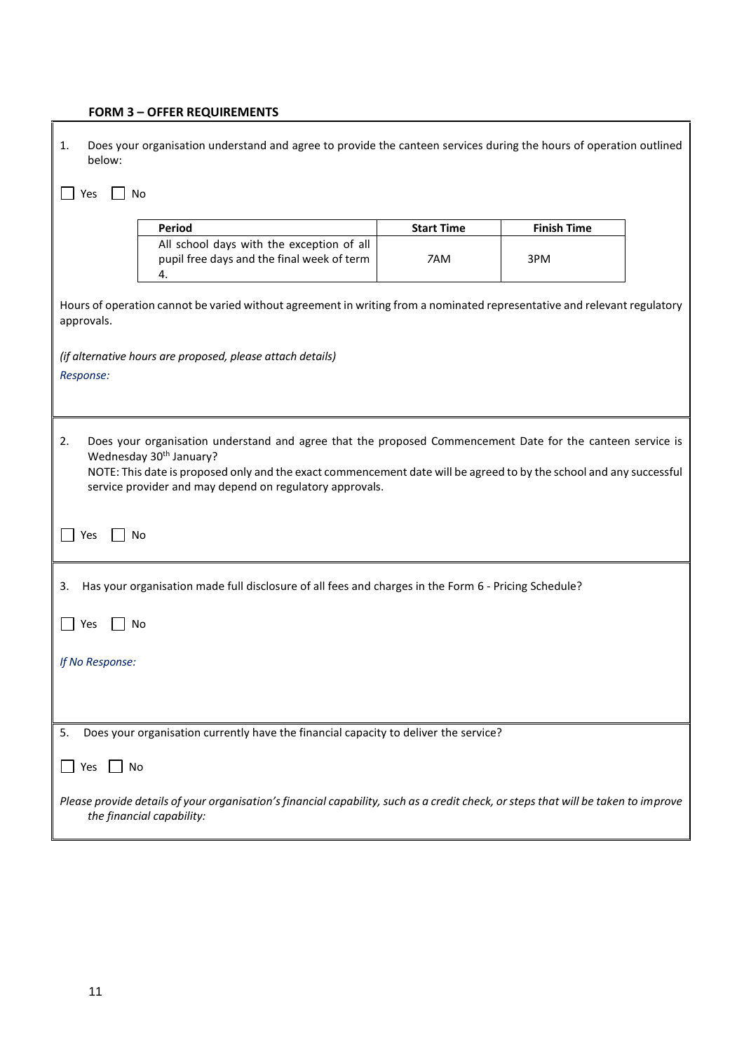# **FORM 3 – OFFER REQUIREMENTS**

| Does your organisation understand and agree to provide the canteen services during the hours of operation outlined<br>1.<br>below:                                                                                                                                                                                                         |                   |                    |  |  |  |  |
|--------------------------------------------------------------------------------------------------------------------------------------------------------------------------------------------------------------------------------------------------------------------------------------------------------------------------------------------|-------------------|--------------------|--|--|--|--|
| No<br>Yes                                                                                                                                                                                                                                                                                                                                  |                   |                    |  |  |  |  |
| Period                                                                                                                                                                                                                                                                                                                                     | <b>Start Time</b> | <b>Finish Time</b> |  |  |  |  |
| All school days with the exception of all<br>pupil free days and the final week of term<br>4.                                                                                                                                                                                                                                              | 7AM               | 3PM                |  |  |  |  |
| Hours of operation cannot be varied without agreement in writing from a nominated representative and relevant regulatory<br>approvals.                                                                                                                                                                                                     |                   |                    |  |  |  |  |
| (if alternative hours are proposed, please attach details)<br>Response:                                                                                                                                                                                                                                                                    |                   |                    |  |  |  |  |
| Does your organisation understand and agree that the proposed Commencement Date for the canteen service is<br>2.<br>Wednesday 30 <sup>th</sup> January?<br>NOTE: This date is proposed only and the exact commencement date will be agreed to by the school and any successful<br>service provider and may depend on regulatory approvals. |                   |                    |  |  |  |  |
| No<br>Yes                                                                                                                                                                                                                                                                                                                                  |                   |                    |  |  |  |  |
| Has your organisation made full disclosure of all fees and charges in the Form 6 - Pricing Schedule?<br>3.                                                                                                                                                                                                                                 |                   |                    |  |  |  |  |
| No<br>Yes                                                                                                                                                                                                                                                                                                                                  |                   |                    |  |  |  |  |
| If No Response:                                                                                                                                                                                                                                                                                                                            |                   |                    |  |  |  |  |
|                                                                                                                                                                                                                                                                                                                                            |                   |                    |  |  |  |  |
| Does your organisation currently have the financial capacity to deliver the service?<br>5.                                                                                                                                                                                                                                                 |                   |                    |  |  |  |  |
| No<br>Yes                                                                                                                                                                                                                                                                                                                                  |                   |                    |  |  |  |  |
| Please provide details of your organisation's financial capability, such as a credit check, or steps that will be taken to improve<br>the financial capability:                                                                                                                                                                            |                   |                    |  |  |  |  |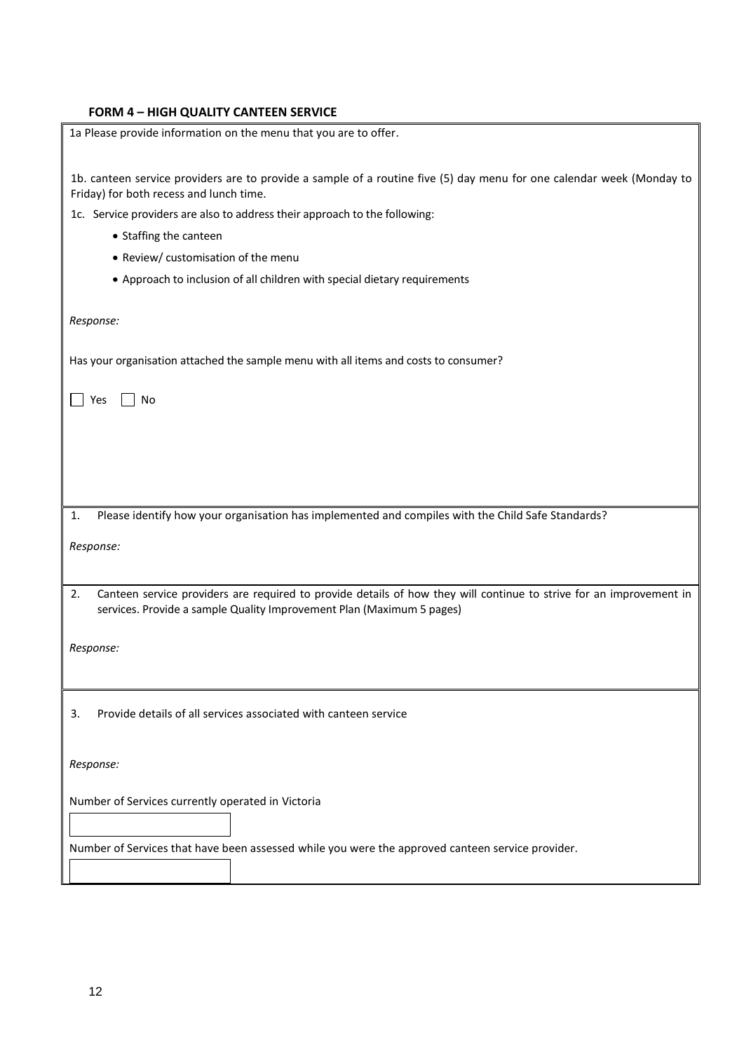# **FORM 4 – HIGH QUALITY CANTEEN SERVICE**

| 1a Please provide information on the menu that you are to offer.                                                                                                 |
|------------------------------------------------------------------------------------------------------------------------------------------------------------------|
|                                                                                                                                                                  |
| 1b. canteen service providers are to provide a sample of a routine five (5) day menu for one calendar week (Monday to<br>Friday) for both recess and lunch time. |
| 1c. Service providers are also to address their approach to the following:                                                                                       |
| • Staffing the canteen                                                                                                                                           |
| • Review/ customisation of the menu                                                                                                                              |
| • Approach to inclusion of all children with special dietary requirements                                                                                        |
|                                                                                                                                                                  |
| Response:                                                                                                                                                        |
|                                                                                                                                                                  |
| Has your organisation attached the sample menu with all items and costs to consumer?                                                                             |
|                                                                                                                                                                  |
| <b>No</b><br>Yes                                                                                                                                                 |
|                                                                                                                                                                  |
|                                                                                                                                                                  |
|                                                                                                                                                                  |
|                                                                                                                                                                  |
|                                                                                                                                                                  |
| Please identify how your organisation has implemented and compiles with the Child Safe Standards?<br>1.                                                          |
| Response:                                                                                                                                                        |
|                                                                                                                                                                  |
| Canteen service providers are required to provide details of how they will continue to strive for an improvement in<br>2.                                        |
| services. Provide a sample Quality Improvement Plan (Maximum 5 pages)                                                                                            |
|                                                                                                                                                                  |
| Response:                                                                                                                                                        |
|                                                                                                                                                                  |
|                                                                                                                                                                  |
| Provide details of all services associated with canteen service<br>3.                                                                                            |
|                                                                                                                                                                  |
|                                                                                                                                                                  |
| Response:                                                                                                                                                        |
|                                                                                                                                                                  |
| Number of Services currently operated in Victoria                                                                                                                |
|                                                                                                                                                                  |
| Number of Services that have been assessed while you were the approved canteen service provider.                                                                 |
|                                                                                                                                                                  |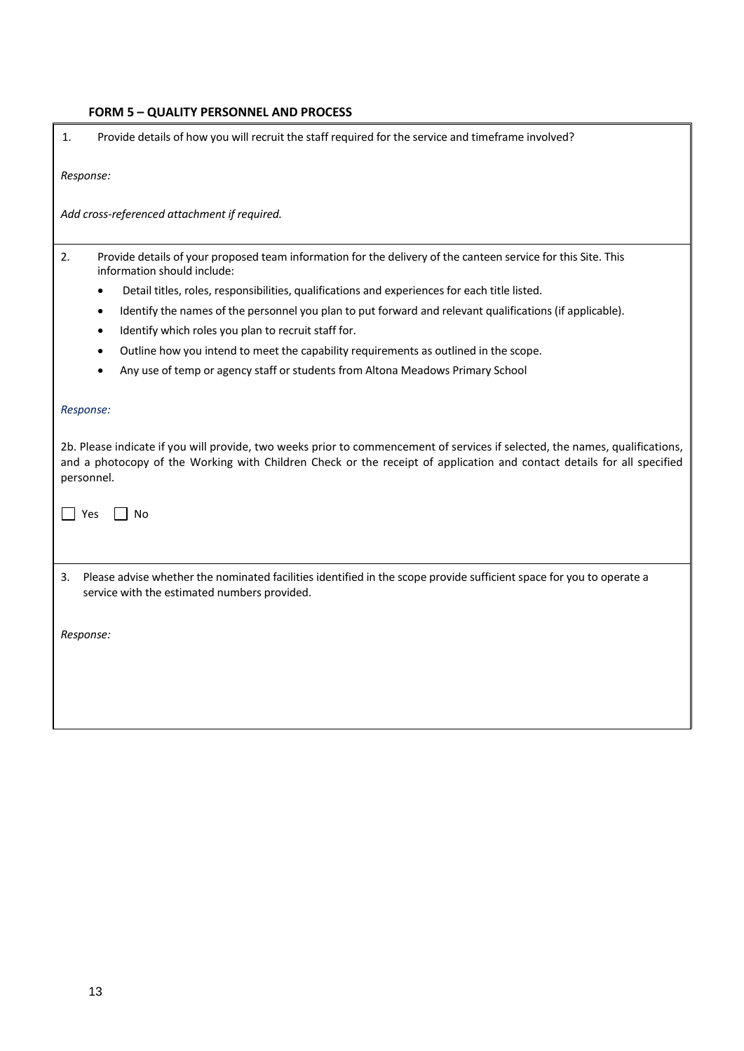# **FORM 5 – QUALITY PERSONNEL AND PROCESS**

| 1.                      | Provide details of how you will recruit the staff required for the service and timeframe involved?                                                                                                                                                                  |  |  |  |
|-------------------------|---------------------------------------------------------------------------------------------------------------------------------------------------------------------------------------------------------------------------------------------------------------------|--|--|--|
| Response:               |                                                                                                                                                                                                                                                                     |  |  |  |
|                         | Add cross-referenced attachment if required.                                                                                                                                                                                                                        |  |  |  |
| 2.                      | Provide details of your proposed team information for the delivery of the canteen service for this Site. This<br>information should include:                                                                                                                        |  |  |  |
|                         | Detail titles, roles, responsibilities, qualifications and experiences for each title listed.<br>٠                                                                                                                                                                  |  |  |  |
|                         | Identify the names of the personnel you plan to put forward and relevant qualifications (if applicable).<br>$\bullet$                                                                                                                                               |  |  |  |
|                         | Identify which roles you plan to recruit staff for.<br>٠                                                                                                                                                                                                            |  |  |  |
|                         | Outline how you intend to meet the capability requirements as outlined in the scope.                                                                                                                                                                                |  |  |  |
|                         | Any use of temp or agency staff or students from Altona Meadows Primary School                                                                                                                                                                                      |  |  |  |
| Response:<br>personnel. | 2b. Please indicate if you will provide, two weeks prior to commencement of services if selected, the names, qualifications,<br>and a photocopy of the Working with Children Check or the receipt of application and contact details for all specified<br>Yes<br>No |  |  |  |
| 3.                      | Please advise whether the nominated facilities identified in the scope provide sufficient space for you to operate a<br>service with the estimated numbers provided.                                                                                                |  |  |  |
| Response:               |                                                                                                                                                                                                                                                                     |  |  |  |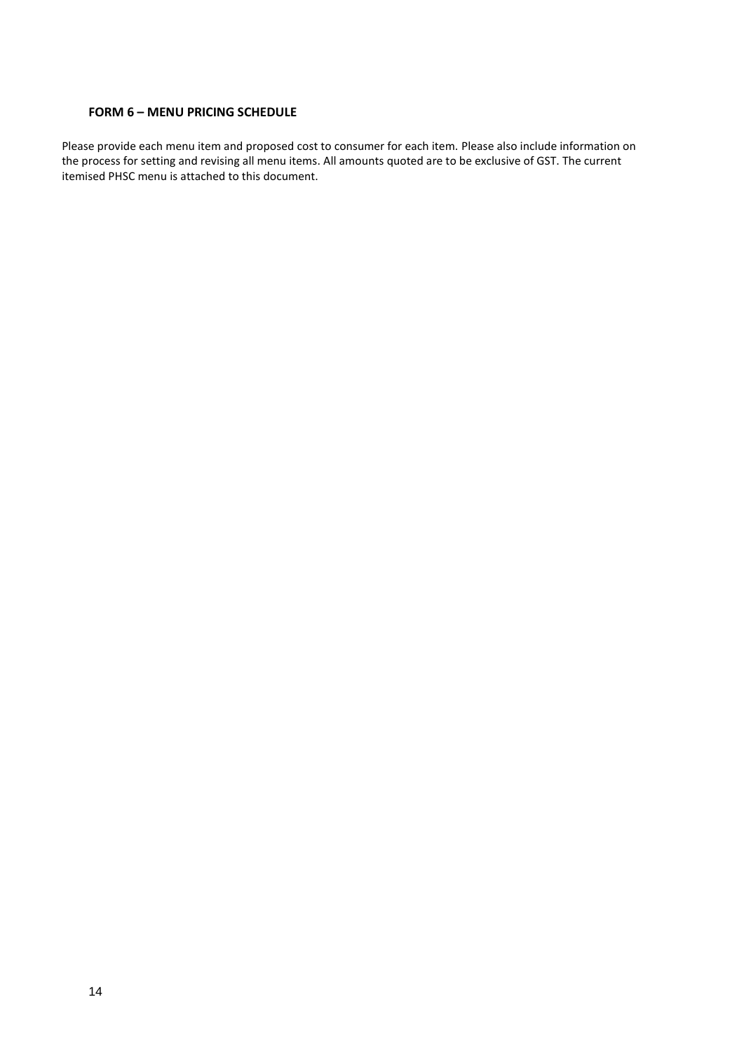# **FORM 6 – MENU PRICING SCHEDULE**

Please provide each menu item and proposed cost to consumer for each item. Please also include information on the process for setting and revising all menu items. All amounts quoted are to be exclusive of GST. The current itemised PHSC menu is attached to this document.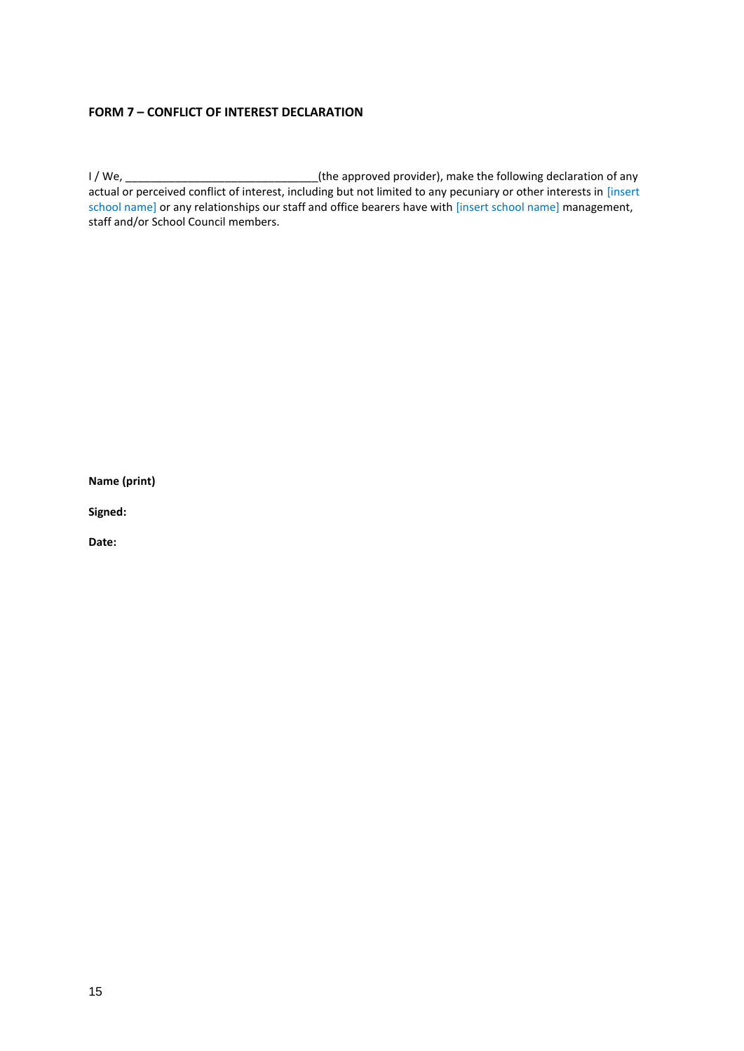# **FORM 7 – CONFLICT OF INTEREST DECLARATION**

I / We, \_\_\_\_\_\_\_\_\_\_\_\_\_\_\_\_\_\_\_\_\_\_\_\_\_\_\_\_\_\_\_(the approved provider), make the following declaration of any actual or perceived conflict of interest, including but not limited to any pecuniary or other interests in [insert school name] or any relationships our staff and office bearers have with [insert school name] management, staff and/or School Council members.

**Name (print)**

**Signed:**

**Date:**